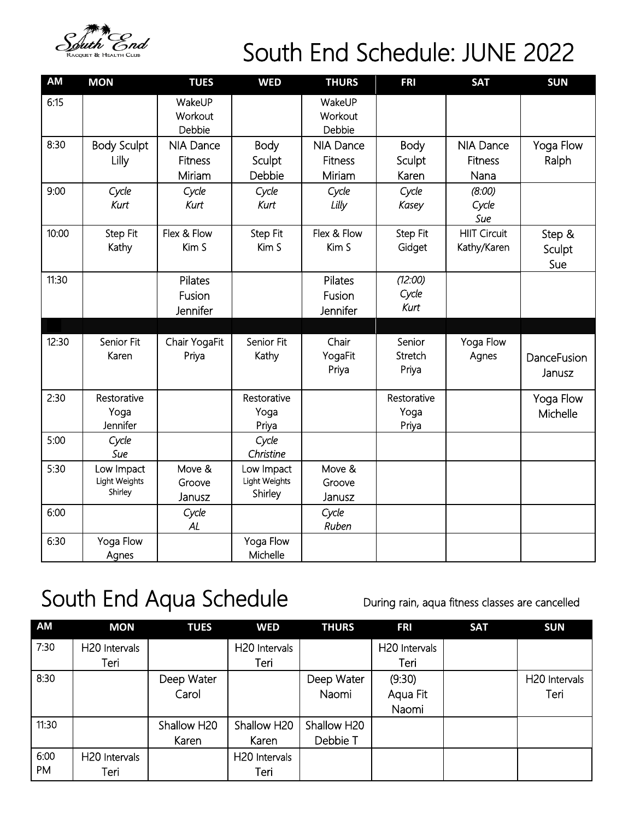

## South End Schedule: JUNE 2022

| AM    | <b>MON</b>                             | <b>TUES</b>                                  | <b>WED</b>                             | <b>THURS</b>                                 | <b>FRI</b>                   | <b>SAT</b>                                 | <b>SUN</b>              |
|-------|----------------------------------------|----------------------------------------------|----------------------------------------|----------------------------------------------|------------------------------|--------------------------------------------|-------------------------|
| 6:15  |                                        | WakeUP<br>Workout<br>Debbie                  |                                        | WakeUP<br>Workout<br>Debbie                  |                              |                                            |                         |
| 8:30  | <b>Body Sculpt</b><br>Lilly            | <b>NIA Dance</b><br><b>Fitness</b><br>Miriam | Body<br>Sculpt<br>Debbie               | <b>NIA Dance</b><br><b>Fitness</b><br>Miriam | Body<br>Sculpt<br>Karen      | <b>NIA Dance</b><br><b>Fitness</b><br>Nana | Yoga Flow<br>Ralph      |
| 9:00  | Cycle<br>Kurt                          | Cycle<br>Kurt                                | Cycle<br>Kurt                          | Cycle<br>Lilly                               | Cycle<br>Kasey               | (8:00)<br>Cycle<br>Sue                     |                         |
| 10:00 | Step Fit<br>Kathy                      | Flex & Flow<br>Kim S                         | Step Fit<br>Kim S                      | Flex & Flow<br>Kim S                         | Step Fit<br>Gidget           | <b>HIIT Circuit</b><br>Kathy/Karen         | Step &<br>Sculpt<br>Sue |
| 11:30 |                                        | Pilates<br>Fusion<br>Jennifer                |                                        | Pilates<br>Fusion<br>Jennifer                | (12:00)<br>Cycle<br>Kurt     |                                            |                         |
| 12:30 | Senior Fit<br>Karen                    | Chair YogaFit<br>Priya                       | Senior Fit<br>Kathy                    | Chair<br>YogaFit<br>Priya                    | Senior<br>Stretch<br>Priya   | Yoga Flow<br>Agnes                         | DanceFusion<br>Janusz   |
| 2:30  | Restorative<br>Yoga<br>Jennifer        |                                              | Restorative<br>Yoga<br>Priya           |                                              | Restorative<br>Yoga<br>Priya |                                            | Yoga Flow<br>Michelle   |
| 5:00  | Cycle<br>Sue                           |                                              | Cycle<br>Christine                     |                                              |                              |                                            |                         |
| 5:30  | Low Impact<br>Light Weights<br>Shirley | Move &<br>Groove<br>Janusz                   | Low Impact<br>Light Weights<br>Shirley | Move &<br>Groove<br>Janusz                   |                              |                                            |                         |
| 6:00  |                                        | Cycle<br>AL                                  |                                        | Cycle<br>Ruben                               |                              |                                            |                         |
| 6:30  | Yoga Flow<br>Agnes                     |                                              | Yoga Flow<br>Michelle                  |                                              |                              |                                            |                         |

## South End Aqua Schedule During rain, aqua fitness classes are cancelled

| <b>AM</b> | <b>MON</b>                | <b>TUES</b> | <b>WED</b>                | <b>THURS</b> | <b>FRI</b>                | <b>SAT</b> | <b>SUN</b>    |
|-----------|---------------------------|-------------|---------------------------|--------------|---------------------------|------------|---------------|
| 7:30      | H <sub>20</sub> Intervals |             | H <sub>20</sub> Intervals |              | H <sub>20</sub> Intervals |            |               |
|           | Teri                      |             | Teri                      |              | Teri                      |            |               |
| 8:30      |                           | Deep Water  |                           | Deep Water   | (9:30)                    |            | H20 Intervals |
|           |                           | Carol       |                           | Naomi        | Aqua Fit                  |            | Teri          |
|           |                           |             |                           |              | Naomi                     |            |               |
| 11:30     |                           | Shallow H20 | Shallow H20               | Shallow H20  |                           |            |               |
|           |                           | Karen       | Karen                     | Debbie T     |                           |            |               |
| 6:00      | H <sub>20</sub> Intervals |             | H <sub>20</sub> Intervals |              |                           |            |               |
| PM        | Teri                      |             | Teri                      |              |                           |            |               |